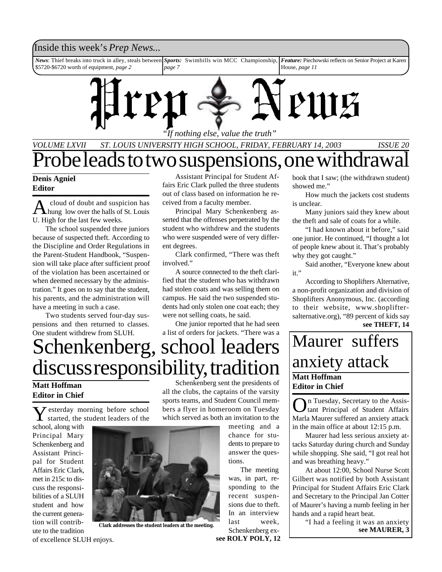### Inside this week's *Prep News*...

*News*: Thief breaks into truck in alley, steals between \$5720-\$6720 worth of equipment, *page 2 Sports:* Swimbills win MCC Championship, *page 7 Feature:* Piechowski reflects on Senior Project at Karen House, *page 11*



*"If nothing else, value the truth"*

## *VOLUME LXVII ST. LOUIS UNIVERSITY HIGH SCHOOL, FRIDAY, FEBRUARY 14, 2003 ISSUE 20* Probe leads to two suspensions, one withdrawal

### **Denis Agniel Editor**

A cloud of doubt and suspicion has<br>hung low over the halls of St. Louis cloud of doubt and suspicion has U. High for the last few weeks.

The school suspended three juniors because of suspected theft. According to the Discipline and Order Regulations in the Parent-Student Handbook, "Suspension will take place after sufficient proof of the violation has been ascertained or when deemed necessary by the administration." It goes on to say that the student, his parents, and the administration will have a meeting in such a case.

Two students served four-day suspensions and then returned to classes. One student withdrew from SLUH.

Assistant Principal for Student Affairs Eric Clark pulled the three students out of class based on information he received from a faculty member.

Principal Mary Schenkenberg asserted that the offenses perpetrated by the student who withdrew and the students who were suspended were of very different degrees.

Clark confirmed, "There was theft involved."

A source connected to the theft clarified that the student who has withdrawn had stolen coats and was selling them on campus. He said the two suspended students had only stolen one coat each; they were not selling coats, he said.

One junior reported that he had seen a list of orders for jackets. "There was a

# Schenkenberg, school leaders discuss responsibility, tradition  $\frac{20 \text{ NAC}}{M\text{A}}$

### **Matt Hoffman Editor in Chief**

Y esterday morning before school started, the student leaders of the

school, along with Principal Mary Schenkenberg and Assistant Principal for Student Affairs Eric Clark, met in 215c to discuss the responsibilities of a SLUH student and how the current generation will contribute to the tradition



**Clark addresses the student leaders at the meeting.**

Schenkenberg sent the presidents of all the clubs, the captains of the varsity sports teams, and Student Council members a flyer in homeroom on Tuesday which served as both an invitation to the

meeting and a chance for students to prepare to answer the questions.

The meeting was, in part, responding to the recent suspensions due to theft. In an interview last week, Schenkenberg ex-

**see ROLY POLY, 12**

book that I saw; (the withdrawn student) showed me."

How much the jackets cost students is unclear.

Many juniors said they knew about the theft and sale of coats for a while.

"I had known about it before," said one junior. He continued, "I thought a lot of people knew about it. That's probably why they got caught."

Said another, "Everyone knew about  $it$ "

**see THEFT, 14** According to Shoplifters Alternative, a non-profit organization and division of Shoplifters Anonymous, Inc. (according to their website, www.shopliftersalternative.org), "89 percent of kids say

## **Editor in Chief** Maurer suffers anxiety attack

On Tuesday, Secretary to the Assis-<br>
Liant Principal of Student Affairs n Tuesday, Secretary to the Assis-Marla Maurer suffered an anxiety attack in the main office at about 12:15 p.m.

Maurer had less serious anxiety attacks Saturday during church and Sunday while shopping. She said, "I got real hot and was breathing heavy."

At about 12:00, School Nurse Scott Gilbert was notified by both Assistant Principal for Student Affairs Eric Clark and Secretary to the Principal Jan Cotter of Maurer's having a numb feeling in her hands and a rapid heart beat.

> "I had a feeling it was an anxiety **see MAURER, 3**

of excellence SLUH enjoys.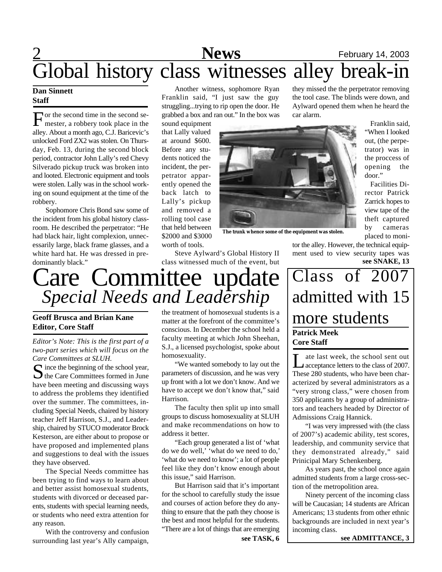## 2 **News** February 14, 2003 Global history class witnesses alley break-in

### **Dan Sinnett Staff**

For the second time in the second semester, a robbery took place in the or the second time in the second sealley. About a month ago, C.J. Baricevic's unlocked Ford ZX2 was stolen. On Thursday, Feb. 13, during the second block period, contractor John Lally's red Chevy Silverado pickup truck was broken into and looted. Electronic equipment and tools were stolen. Lally was in the school working on sound equipment at the time of the robbery.

Sophomore Chris Bond saw some of the incident from his global history classroom. He described the perpetrator: "He had black hair, light complexion, unnecessarily large, black frame glasses, and a white hard hat. He was dressed in predominantly black."

Another witness, sophomore Ryan Franklin said, "I just saw the guy struggling...trying to rip open the door. He grabbed a box and ran out." In the box was

sound equipment that Lally valued at around \$600. Before any students noticed the incident, the perpetrator apparently opened the back latch to Lally's pickup and removed a rolling tool case that held between \$2000 and \$3000 worth of tools.



**The trunk whence some of the equipment was stolen.**

Steve Aylward's Global History II class witnessed much of the event, but

they missed the the perpetrator removing the tool case. The blinds were down, and Aylward opened them when he heard the car alarm.

> Franklin said, "When I looked out, (the perpetrator) was in the proccess of opening the door."

Facilities Director Patrick Zarrick hopes to view tape of the theft captured by cameras placed to moni-

tor the alley. However, the technical equipment used to view security tapes was **see SNAKE, 13**

# Care Committee update *Special Needs and Leadership*

### **Geoff Brusca and Brian Kane Editor, Core Staff**

*Editor's Note: This is the first part of a two-part series which will focus on the Care Committees at SLUH.*

S ince the beginning of the school year,<br>the Care Committees formed in June  $\Gamma$  ince the beginning of the school year, have been meeting and discussing ways to address the problems they identified over the summer. The committees, including Special Needs, chaired by history teacher Jeff Harrison, S.J., and Leadership, chaired by STUCO moderator Brock Kesterson, are either about to propose or have proposed and implemented plans and suggestions to deal with the issues they have observed.

The Special Needs committee has been trying to find ways to learn about and better assist homosexual students, students with divorced or deceased parents, students with special learning needs, or students who need extra attention for any reason.

With the controversy and confusion surrounding last year's Ally campaign,

the treatment of homosexual students is a matter at the forefront of the committee's conscious. In December the school held a faculty meeting at which John Sheehan, S.J., a licensed psychologist, spoke about homosexuality.

"We wanted somebody to lay out the parameters of discussion, and he was very up front with a lot we don't know. And we have to accept we don't know that," said Harrison.

The faculty then split up into small groups to discuss homosexuality at SLUH and make recommendations on how to address it better.

"Each group generated a list of 'what do we do well,' 'what do we need to do,' 'what do we need to know'; a lot of people feel like they don't know enough about this issue," said Harrison.

But Harrison said that it's important for the school to carefully study the issue and courses of action before they do anything to ensure that the path they choose is the best and most helpful for the students. "There are a lot of things that are emerging

## **Patrick Meek Core Staff** Class of 2007 admitted with 15 more students

Let last week, the school sent out<br>
acceptance letters to the class of 2007.<br>
These 280 students, who have been charate last week, the school sent out Acceptance letters to the class of 2007. acterized by several administrators as a "very strong class," were chosen from 350 applicants by a group of administrators and teachers headed by Director of Admissions Craig Hannick.

"I was very impressed with (the class of 2007's) academic ability, test scores, leadership, and community service that they demonstrated already," said Prinicipal Mary Schenkenberg.

As years past, the school once again admitted students from a large cross-section of the metropolition area.

Ninety percent of the incoming class will be Caucasian; 14 students are African Americans; 13 students from other ethnic backgrounds are included in next year's incoming class.

**see TASK, 6 see ADMITTANCE, 3**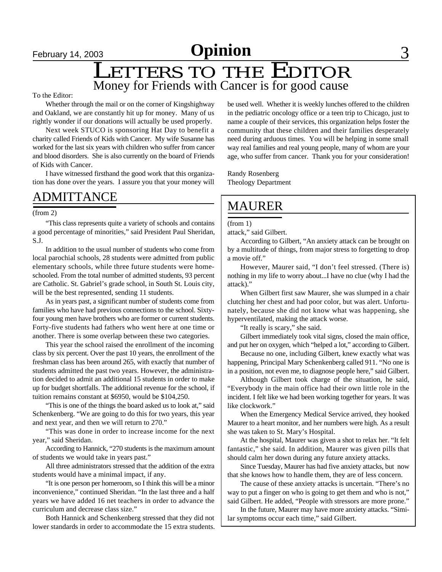# **February 14, 2003 Opinion**

## LETTERS TO THE EDITOR Money for Friends with Cancer is for good cause

### To the Editor:

Whether through the mail or on the corner of Kingshighway and Oakland, we are constantly hit up for money. Many of us rightly wonder if our donations will actually be used properly.

Next week STUCO is sponsoring Hat Day to benefit a charity called Friends of Kids with Cancer. My wife Susanne has worked for the last six years with children who suffer from cancer and blood disorders. She is also currently on the board of Friends of Kids with Cancer.

I have witnessed firsthand the good work that this organization has done over the years. I assure you that your money will

### ADMITTANCE

(from 2)

"This class represents quite a variety of schools and contains a good percentage of minorities," said President Paul Sheridan, S.J.

In addition to the usual number of students who come from local parochial schools, 28 students were admitted from public elementary schools, while three future students were homeschooled. From the total number of admitted students, 93 percent are Catholic. St. Gabriel's grade school, in South St. Louis city, will be the best represented, sending 11 students.

As in years past, a significant number of students come from families who have had previous connections to the school. Sixtyfour young men have brothers who are former or current students. Forty-five students had fathers who went here at one time or another. There is some overlap between these two categories.

This year the school raised the enrollment of the incoming class by six percent. Over the past 10 years, the enrollment of the freshman class has been around 265, with exactly that number of students admitted the past two years. However, the administration decided to admit an additional 15 students in order to make up for budget shortfalls. The additional revenue for the school, if tuition remains constant at \$6950, would be \$104,250.

"This is one of the things the board asked us to look at," said Schenkenberg. "We are going to do this for two years, this year and next year, and then we will return to 270."

"This was done in order to increase income for the next year," said Sheridan.

According to Hannick, "270 students is the maximum amount of students we would take in years past."

All three administrators stressed that the addition of the extra students would have a minimal impact, if any.

"It is one person per homeroom, so I think this will be a minor inconvenience," continued Sheridan. "In the last three and a half years we have added 16 net teachers in order to advance the curriculum and decrease class size."

Both Hannick and Schenkenberg stressed that they did not lower standards in order to accommodate the 15 extra students.

be used well. Whether it is weekly lunches offered to the children in the pediatric oncology office or a teen trip to Chicago, just to name a couple of their services, this organization helps foster the community that these children and their families desperately need during arduous times. You will be helping in some small way real families and real young people, many of whom are your age, who suffer from cancer. Thank you for your consideration!

Randy Rosenberg Theology Department

### MAURER

(from 1)

attack," said Gilbert.

According to Gilbert, "An anxiety attack can be brought on by a multitude of things, from major stress to forgetting to drop a movie off."

However, Maurer said, "I don't feel stressed. (There is) nothing in my life to worry about...I have no clue (why I had the attack)."

When Gilbert first saw Maurer, she was slumped in a chair clutching her chest and had poor color, but was alert. Unfortunately, because she did not know what was happening, she hyperventilated, making the attack worse.

"It really is scary," she said.

Gilbert immediately took vital signs, closed the main office, and put her on oxygen, which "helped a lot," according to Gilbert.

Because no one, including Gilbert, knew exactly what was happening, Principal Mary Schenkenberg called 911. "No one is in a position, not even me, to diagnose people here," said Gilbert.

Although Gilbert took charge of the situation, he said, "Everybody in the main office had their own little role in the incident. I felt like we had been working together for years. It was like clockwork."

When the Emergency Medical Service arrived, they hooked Maurer to a heart monitor, and her numbers were high. As a result she was taken to St. Mary's Hospital.

At the hospital, Maurer was given a shot to relax her. "It felt fantastic," she said. In addition, Maurer was given pills that should calm her down during any future anxiety attacks.

Since Tuesday, Maurer has had five anxiety attacks, but now that she knows how to handle them, they are of less concern.

The cause of these anxiety attacks is uncertain. "There's no way to put a finger on who is going to get them and who is not," said Gilbert. He added, "People with stressors are more prone."

In the future, Maurer may have more anxiety attacks. "Similar symptoms occur each time," said Gilbert.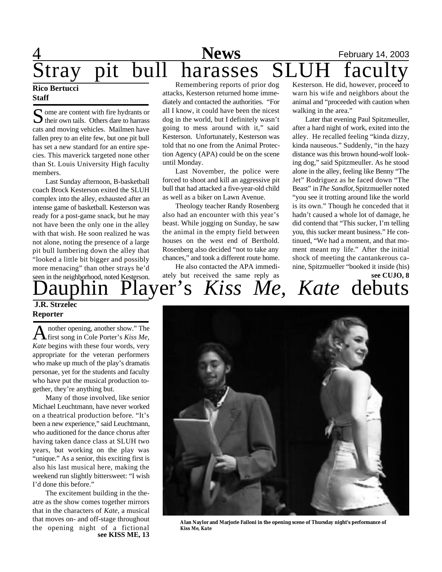## 4 **News** February 14, 2003 Stray pit bull harasses SLUH faculty

### **Rico Bertucci Staff**

Some are content with fire hydrants or<br>their own tails. Others dare to harrass  $\bigcup$  their own tails. Others dare to harrass cats and moving vehicles. Mailmen have fallen prey to an elite few, but one pit bull has set a new standard for an entire species. This maverick targeted none other than St. Louis University High faculty members.

Last Sunday afternoon, B-basketball coach Brock Kesterson exited the SLUH complex into the alley, exhausted after an intense game of basketball. Kesterson was ready for a post-game snack, but he may not have been the only one in the alley with that wish. He soon realized he was not alone, noting the presence of a large pit bull lumbering down the alley that "looked a little bit bigger and possibly more menacing" than other strays he'd seen in the neighborhood, noted Kesterson.

Remembering reports of prior dog attacks, Kesterson returned home immediately and contacted the authorities. "For all I know, it could have been the nicest dog in the world, but I definitely wasn't going to mess around with it," said Kesterson. Unfortunately, Kesterson was told that no one from the Animal Protection Agency (APA) could be on the scene until Monday.

Last November, the police were forced to shoot and kill an aggressive pit bull that had attacked a five-year-old child as well as a biker on Lawn Avenue.

Theology teacher Randy Rosenberg also had an encounter with this year's beast. While jogging on Sunday, he saw the animal in the empty field between houses on the west end of Berthold. Rosenberg also decided "not to take any chances," and took a different route home.

He also contacted the APA immediately but received the same reply as

Kesterson. He did, however, proceed to warn his wife and neighbors about the animal and "proceeded with caution when walking in the area."

Later that evening Paul Spitzmeuller, after a hard night of work, exited into the alley. He recalled feeling "kinda dizzy, kinda nauseous." Suddenly, "in the hazy distance was this brown hound-wolf looking dog," said Spitzmeuller. As he stood alone in the alley, feeling like Benny "The Jet" Rodriguez as he faced down "The Beast" in *The Sandlot,* Spitzmueller noted "you see it trotting around like the world is its own." Though he conceded that it hadn't caused a whole lot of damage, he did contend that "This sucker, I'm telling you, this sucker meant business." He continued, "We had a moment, and that moment meant my life." After the initial shock of meeting the cantankerous canine, Spitzmueller "booked it inside (his) **see CUJO, 8**

hin Player's *Kiss Me, Kate* debuts

### **J.R. Strzelec Reporter**

A nother opening, another show." The first song in Cole Porter's *Kiss Me*, nother opening, another show." The *Kate* begins with these four words, very appropriate for the veteran performers who make up much of the play's dramatis personae, yet for the students and faculty who have put the musical production together, they're anything but.

Many of those involved, like senior Michael Leuchtmann, have never worked on a theatrical production before. "It's been a new experience," said Leuchtmann, who auditioned for the dance chorus after having taken dance class at SLUH two years, but working on the play was "unique." As a senior, this exciting first is also his last musical here, making the weekend run slightly bittersweet: "I wish I'd done this before."

The excitement building in the theatre as the show comes together mirrors that in the characters of *Kate*, a musical that moves on- and off-stage throughout the opening night of a fictional **see KISS ME, 13**



**Alan Naylor and Marjorie Failoni in the opening scene of Thursday night's performance of** *Kiss Me, Kate*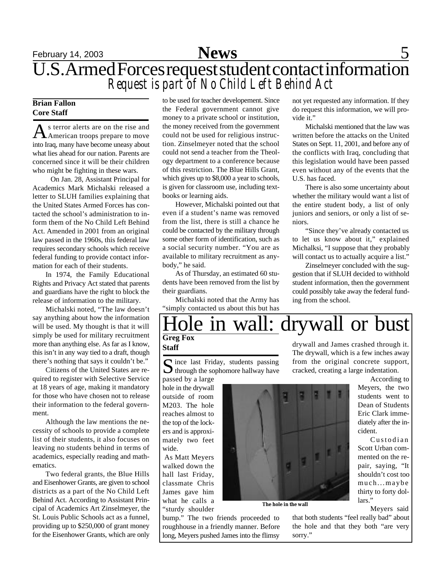## **February 14, 2003 Space 5** U.S. Armed Forces request student contact information *Request is part of No Child Left Behind Act*

### **Brian Fallon Core Staff**

As terror alerts are on the rise and<br>American troops prepare to move s terror alerts are on the rise and into Iraq, many have become uneasy about what lies ahead for our nation. Parents are concerned since it will be their children who might be fighting in these wars.

 On Jan. 28, Assistant Principal for Academics Mark Michalski released a letter to SLUH families explaining that the United States Armed Forces has contacted the school's administration to inform them of the No Child Left Behind Act. Amended in 2001 from an original law passed in the 1960s, this federal law requires secondary schools which receive federal funding to provide contact information for each of their students.

In 1974, the Family Educational Rights and Privacy Act stated that parents and guardians have the right to block the release of information to the military.

Michalski noted, "The law doesn't say anything about how the information will be used. My thought is that it will simply be used for military recruitment more than anything else. As far as I know, this isn't in any way tied to a draft, though there's nothing that says it couldn't be."

Citizens of the United States are required to register with Selective Service at 18 years of age, making it mandatory for those who have chosen not to release their information to the federal government.

Although the law mentions the necessity of schools to provide a complete list of their students, it also focuses on leaving no students behind in terms of academics, especially reading and mathematics.

Two federal grants, the Blue Hills and Eisenhower Grants, are given to school districts as a part of the No Child Left Behind Act. According to Assistant Principal of Academics Art Zinselmeyer, the St. Louis Public Schools act as a funnel, providing up to \$250,000 of grant money for the Eisenhower Grants, which are only

to be used for teacher developement. Since the Federal government cannot give money to a private school or institution, the money received from the government could not be used for religious instruction. Zinselmeyer noted that the school could not send a teacher from the Theology department to a conference because of this restriction. The Blue Hills Grant, which gives up to \$8,000 a year to schools, is given for classroom use, including textbooks or learning aids.

However, Michalski pointed out that even if a student's name was removed from the list, there is still a chance he could be contacted by the military through some other form of identification, such as a social security number. "You are as available to military recruitment as anybody," he said.

As of Thursday, an estimated 60 students have been removed from the list by their guardians.

Michalski noted that the Army has "simply contacted us about this but has

not yet requested any information. If they do request this information, we will provide it."

Michalski mentioned that the law was written before the attacks on the United States on Sept. 11, 2001, and before any of the conflicts with Iraq, concluding that this legislation would have been passed even without any of the events that the U.S. has faced.

There is also some uncertainty about whether the military would want a list of the entire student body, a list of only juniors and seniors, or only a list of seniors.

"Since they've already contacted us to let us know about it," explained Michalksi, "I suppose that they probably will contact us to actually acquire a list."

Zinselmeyer concluded with the suggestion that if SLUH decided to withhold student information, then the government could possibly take away the federal funding from the school.

### **Greg Fox** in wall: drywall or bust

**Staff**

S ince last Friday, students passing<br>through the sophomore hallway have through the sophomore hallway have

passed by a large hole in the drywall outside of room M203. The hole reaches almost to the top of the lockers and is approximately two feet wide.

 As Matt Meyers walked down the hall last Friday, classmate Chris James gave him what he calls a "sturdy shoulder

bump." The two friends proceeded to roughhouse in a friendly manner. Before long, Meyers pushed James into the flimsy

drywall and James crashed through it. The drywall, which is a few inches away from the original concrete support, cracked, creating a large indentation.

> According to Meyers, the two students went to Dean of Students Eric Clark immediately after the incident.

> Custodian Scott Urban commented on the repair, saying, "It shouldn't cost too much...maybe thirty to forty dollars."

> > Meyers said

that both students "feel really bad" about the hole and that they both "are very sorry."

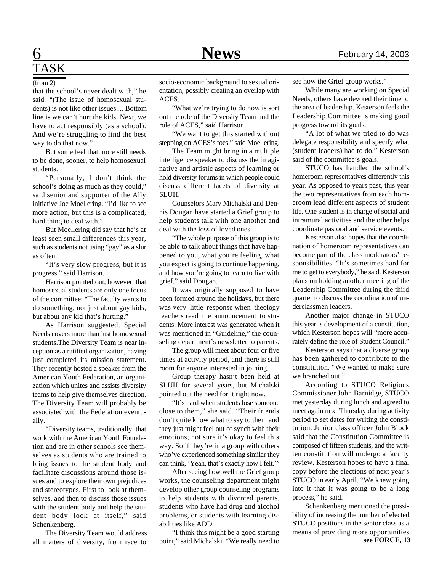# TASK

that the school's never dealt with," he said. "(The issue of homosexual students) is not like other issues.... Bottom line is we can't hurt the kids. Next, we have to act responsibly (as a school). And we're struggling to find the best way to do that now."

But some feel that more still needs to be done, sooner, to help homosexual students.

"Personally, I don't think the school's doing as much as they could," said senior and supporter of the Ally initiative Joe Moellering. "I'd like to see more action, but this is a complicated, hard thing to deal with."

But Moellering did say that he's at least seen small differences this year, such as students not using "gay" as a slur as often.

"It's very slow progress, but it is progress," said Harrison.

Harrison pointed out, however, that homosexual students are only one focus of the committee: "The faculty wants to do something, not just about gay kids, but about any kid that's hurting."

As Harrison suggested, Special Needs covers more than just homosexual students.The Diversity Team is near inception as a ratified organization, having just completed its mission statement. They recently hosted a speaker from the American Youth Federation, an organization which unites and assists diversity teams to help give themselves direction. The Diversity Team will probably be associated with the Federation eventually.

"Diversity teams, traditionally, that work with the American Youth Foundation and are in other schools see themselves as students who are trained to bring issues to the student body and facilitate discussions around those issues and to explore their own prejudices and stereotypes. First to look at themselves, and then to discuss those issues with the student body and help the student body look at itself," said Schenkenberg.

The Diversity Team would address all matters of diversity, from race to

(from 2) socio-economic background to sexual orientation, possibly creating an overlap with ACES.

> "What we're trying to do now is sort out the role of the Diversity Team and the role of ACES," said Harrison.

> "We want to get this started without stepping on ACES's toes," said Moellering.

> The Team might bring in a multiple intelligence speaker to discuss the imaginative and artistic aspects of learning or hold diversity forums in which people could discuss different facets of diversity at SLUH.

> Counselors Mary Michalski and Dennis Dougan have started a Grief group to help students talk with one another and deal with the loss of loved ones.

> "The whole purpose of this group is to be able to talk about things that have happened to you, what you're feeling, what you expect is going to continue happening, and how you're going to learn to live with grief," said Dougan.

> It was originally supposed to have been formed around the holidays, but there was very little response when theology teachers read the announcement to students. More interest was generated when it was mentioned in "Guideline," the counseling department's newsletter to parents.

> The group will meet about four or five times at activity period, and there is still room for anyone interested in joining.

> Group therapy hasn't been held at SLUH for several years, but Michalski pointed out the need for it right now.

> "It's hard when students lose someone close to them," she said. "Their friends don't quite know what to say to them and they just might feel out of synch with their emotions, not sure it's okay to feel this way. So if they're in a group with others who've experienced something similar they can think, 'Yeah, that's exactly how I felt.'"

> After seeing how well the Grief group works, the counseling department might develop other group counseling programs to help students with divorced parents, students who have had drug and alcohol problems, or students with learning disabilities like ADD.

> "I think this might be a good starting point," said Michalski. "We really need to

see how the Grief group works."

While many are working on Special Needs, others have devoted their time to the area of leadership. Kesterson feels the Leadership Committee is making good progress toward its goals.

"A lot of what we tried to do was delegate responsibility and specify what (student leaders) had to do," Kesterson said of the committee's goals.

STUCO has handled the school's homeroom representatives differently this year. As opposed to years past, this year the two representatives from each homeroom lead different aspects of student life. One student is in charge of social and intramural activities and the other helps coordinate pastoral and service events.

Kesterson also hopes that the coordination of homeroom representatives can become part of the class moderators' responsibilities. "It's sometimes hard for me to get to everybody," he said. Kesterson plans on holding another meeting of the Leadership Committee during the third quarter to discuss the coordination of underclassmen leaders.

Another major change in STUCO this year is development of a constitution, which Kesterson hopes will "more accurately define the role of Student Council."

Kesterson says that a diverse group has been gathered to contribute to the constitution. "We wanted to make sure we branched out."

According to STUCO Religious Commissioner John Barnidge, STUCO met yesterday during lunch and agreed to meet again next Thursday during activity period to set dates for writing the constitution. Junior class officer John Block said that the Constitution Committee is composed of fifteen students, and the written constitution will undergo a faculty review. Kesterson hopes to have a final copy before the elections of next year's STUCO in early April. "We knew going into it that it was going to be a long process," he said.

Schenkenberg mentioned the possibility of increasing the number of elected STUCO positions in the senior class as a means of providing more opportunities **see FORCE, 13**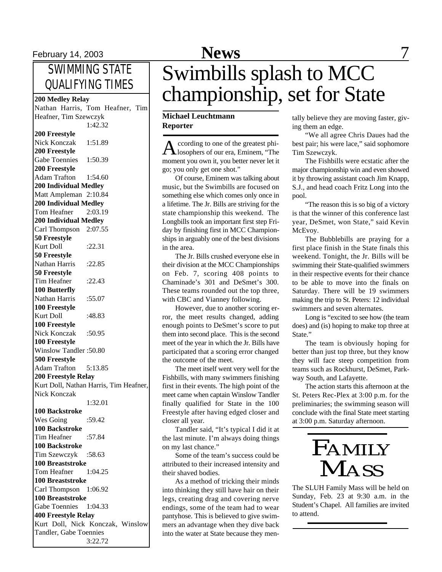## SWIMMING STATE QUALIFYING TIMES

Nathan Harris, Tom Heafner, Tim Heafner, Tim Szewczyk 1:42.32 **200 Freestyle** Nick Konczak 1:51.89 **200 Freestyle** Gabe Toennies 1:50.39 **200 Freestyle** Adam Trafton 1:54.60 **200 Individual Medley** Matt Ampleman 2:10.84 **200 Individual Medley** Tom Heafner 2:03.19 **200 Individual Medley** Carl Thompson 2:07.55 **50 Freestyle** Kurt Doll :22.31 **50 Freestyle** Nathan Harris : 22.85 **50 Freestyle** Tim Heafner :22.43 **100 Butterfly** Nathan Harris :55.07 **100 Freestyle** Kurt Doll :48.83 **100 Freestyle** Nick Konczak :50.95 **100 Freestyle** Winslow Tandler :50.80 **500 Freestyle** Adam Trafton 5:13.85 **200 Freestyle Relay** Kurt Doll, Nathan Harris, Tim Heafner, Nick Konczak 1:32.01 **100 Backstroke** Wes Going :59.42 **100 Backstroke** Tim Heafner :57.84 **100 Backstroke** Tim Szewczyk :58.63 **100 Breaststroke** Tom Heafner 1:04.25 **100 Breaststroke** Carl Thompson 1:06.92

**100 Breaststroke** Gabe Toennies 1:04.33 **400 Freestyle Relay**

Tandler, Gabe Toennies

Kurt Doll, Nick Konczak, Winslow

3:22.72

# February 14, 2003 **News** 7

# Swimbills splash to MCC <sup>200</sup> Medley Relay<br><sup>200</sup> Medley Relay<br>**200 Medley Relay**<br>**200 Medley Relay**

### **Michael Leuchtmann Reporter**

A ccording to one of the greatest phi-<br>A losophers of our era, Eminem, "The ccording to one of the greatest phimoment you own it, you better never let it go; you only get one shot."

Of course, Eminem was talking about music, but the Swimbills are focused on something else which comes only once in a lifetime. The Jr. Bills are striving for the state championship this weekend. The Longbills took an important first step Friday by finishing first in MCC Championships in arguably one of the best divisions in the area.

The Jr. Bills crushed everyone else in their division at the MCC Championships on Feb. 7, scoring 408 points to Chaminade's 301 and DeSmet's 300. These teams rounded out the top three, with CBC and Vianney following.

However, due to another scoring error, the meet results changed, adding enough points to DeSmet's score to put them into second place. This is the second meet of the year in which the Jr. Bills have participated that a scoring error changed the outcome of the meet.

The meet itself went very well for the Fishbills, with many swimmers finishing first in their events. The high point of the meet came when captain Winslow Tandler finally qualified for State in the 100 Freestyle after having edged closer and closer all year.

Tandler said, "It's typical I did it at the last minute. I'm always doing things on my last chance."

Some of the team's success could be attributed to their increased intensity and their shaved bodies.

As a method of tricking their minds into thinking they still have hair on their legs, creating drag and covering nerve endings, some of the team had to wear pantyhose. This is believed to give swimmers an advantage when they dive back into the water at State because they men-

tally believe they are moving faster, giving them an edge.

"We all agree Chris Daues had the best pair; his were lace," said sophomore Tim Szewczyk.

The Fishbills were ecstatic after the major championship win and even showed it by throwing assistant coach Jim Knapp, S.J., and head coach Fritz Long into the pool.

"The reason this is so big of a victory is that the winner of this conference last year, DeSmet, won State," said Kevin McEvoy.

The Bubblebills are praying for a first place finish in the State finals this weekend. Tonight, the Jr. Bills will be swimming their State-qualified swimmers in their respective events for their chance to be able to move into the finals on Saturday. There will be 19 swimmers making the trip to St. Peters: 12 individual swimmers and seven alternates.

Long is "excited to see how (the team does) and (is) hoping to make top three at State."

The team is obviously hoping for better than just top three, but they know they will face steep competition from teams such as Rockhurst, DeSmet, Parkway South, and Lafayette.

The action starts this afternoon at the St. Peters Rec-Plex at 3:00 p.m. for the preliminaries; the swimming season will conclude with the final State meet starting at 3:00 p.m. Saturday afternoon.

# FAMILY **MASS**

The SLUH Family Mass will be held on Sunday, Feb. 23 at 9:30 a.m. in the Student's Chapel. All families are invited to attend.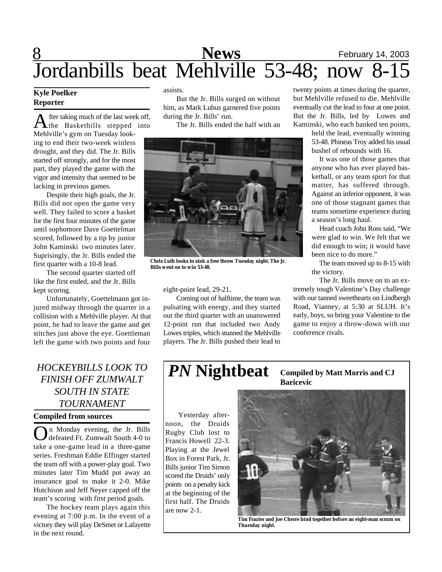## 8 **News** February 14, 2003 Jordanbills beat Mehlville 53-48; now 8-15

### **Kyle Poelker Reporter**

A fter taking much of the last week off,<br>the Basketbills stepped into fter taking much of the last week off, Mehlville's gym on Tuesday looking to end their two-week winless drought, and they did. The Jr. Bills started off strongly, and for the most part, they played the game with the vigor and intensity that seemed to be lacking in previous games.

Despite their high goals, the Jr. Bills did not open the game very well. They failed to score a basket for the first four minutes of the game until sophomore Dave Goettelman scored, followed by a tip by junior John Kaminski two minutes later. Suprisingly, the Jr. Bills ended the first quarter with a 10-8 lead.

The second quarter started off like the first ended, and the Jr. Bills kept scoring.

Unfortunately, Goettelmann got injured midway through the quarter in a collision with a Mehlville player. At that point, he had to leave the game and get stitches just above the eye. Goettleman left the game with two points and four

### *HOCKEYBILLS LOOK TO FINISH OFF ZUMWALT SOUTH IN STATE TOURNAMENT*

### **Compiled from sources**

On Monday evening, the Jr. Bills<br>defeated Ft. Zumwalt South 4-0 to n Monday evening, the Jr. Bills take a one-game lead in a three-game series. Freshman Eddie Effinger started the team off with a power-play goal. Two minutes later Tim Mudd put away an insurance goal to make it 2-0. Mike Hutchison and Jeff Neyer capped off the team's scoring with first period goals.

The hockey team plays again this evening at 7:00 p.m. In the event of a victory they will play DeSmet or Lafayette in the next round.

assists.

But the Jr. Bills surged on without him, as Mark Lubus garnered five points during the Jr. Bills' run.

The Jr. Bills ended the half with an



**Chris Luth looks to sink a free throw Tuesday night. The Jr. Bills went on to win 53-48.**

eight-point lead, 29-21.

Coming out of halftime, the team was pulsating with energy, and they started out the third quarter with an unanswered 12-point run that included two Andy Lowes triples, which stunned the Mehlville players. The Jr. Bills pushed their lead to twenty points at times during the quarter, but Mehlville refused to die. Mehlville eventually cut the lead to four at one point. But the Jr. Bills, led by Lowes and Kaminski, who each banked ten points,

> held the lead, eventually winning 53-48. Phineas Troy added his usual bushel of rebounds with 16.

> It was one of those games that anyone who has ever played basketball, or any team sport for that matter, has suffered through. Against an inferior opponent, it was one of those stagnant games that teams sometime experience during a season's long haul.

> Head coach John Ross said, "We were glad to win. We felt that we did enough to win; it would have been nice to do more."

> The team moved up to 8-15 with the victory.

The Jr. Bills move on to an extremely tough Valentine's Day challenge with our tanned sweethearts on Lindbergh Road, Vianney, at 5:30 at SLUH. It's early, boys, so bring your Valentine to the game to enjoy a throw-down with our conference rivals.

#### *PN* **Nightbeat Compiled by Matt Morris and CJ Baricevic**

Yesterday afternoon, the Druids Rugby Club lost to Francis Howell 22-3. Playing at the Jewel Box in Forest Park, Jr. Bills junior Tim Simon scored the Druids' only points on a penalty kick at the beginning of the first half. The Druids are now 2-1.



**Tim Frazier and Joe Cherre bind together before an eight-man scrum on Thursday night.**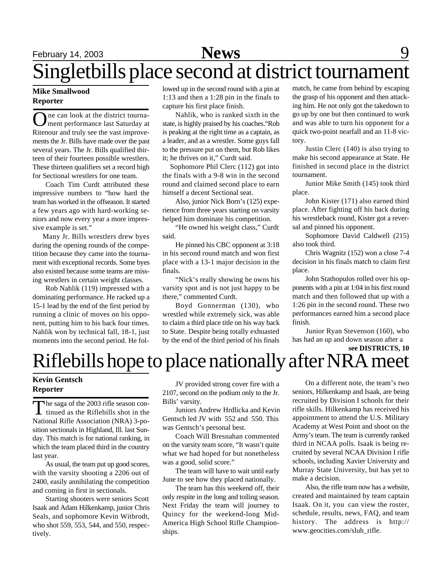## February 14, 2003 **News** 9

# Singletbills place second at district tournament

### **Mike Smallwood Reporter**

One can look at the district tourna-<br>
ment performance last Saturday at ne can look at the district tourna-Ritenour and truly see the vast improvements the Jr. Bills have made over the past several years. The Jr. Bills qualified thirteen of their fourteen possible wrestlers. These thirteen qualifiers set a record high for Sectional wrestlers for one team.

Coach Tim Curdt attributed these impressive numbers to "how hard the team has worked in the offseason. It started a few years ago with hard-working seniors and now every year a more impressive example is set."

 Many Jr. Bills wrestlers drew byes during the opening rounds of the competition because they came into the tournament with exceptional records. Some byes also existed because some teams are missing wrestlers in certain weight classes.

Rob Nahlik (119) impressed with a dominating performance. He racked up a 15-1 lead by the end of the first period by running a clinic of moves on his opponent, putting him to his back four times. Nahlik won by technical fall, 18-1, just moments into the second period. He followed up in the second round with a pin at 1:13 and then a 1:28 pin in the finals to capture his first place finish.

Nahlik, who is ranked sixth in the state, is highly praised by his coaches."Rob is peaking at the right time as a captain, as a leader, and as a wrestler. Some guys fall to the pressure put on them, but Rob likes it; he thrives on it," Curdt said.

 Sophomore Phil Clerc (112) got into the finals with a 9-8 win in the second round and claimed second place to earn himself a decent Sectional seat.

Also, junior Nick Born's (125) experience from three years starting on varsity helped him dominate his competition.

"He owned his weight class," Curdt said.

He pinned his CBC opponent at 3:18 in his second round match and won first place with a 13-1 major decision in the finals.

"Nick's really showing he owns his varsity spot and is not just happy to be there," commented Curdt.

Boyd Gonnerman (130), who wrestled while extremely sick, was able to claim a third place title on his way back to State. Despite being totally exhuasted by the end of the third period of his finals

match, he came from behind by escaping the grasp of his opponent and then attacking him. He not only got the takedown to go up by one but then continued to work and was able to turn his opponent for a quick two-point nearfall and an 11-8 victory.

Justin Clerc (140) is also trying to make his second appearance at State. He finished in second place in the district tournament.

Junior Mike Smith (145) took third place.

John Kister (171) also earned third place. After fighting off his back during his wrestleback round, Kister got a reversal and pinned his opponent.

Sophomore David Caldwell (215) also took third.

Chris Wagnitz (152) won a close 7-4 decision in his finals match to claim first place.

John Stathopulos rolled over his opponents with a pin at 1:04 in his first round match and then followed that up with a 1:26 pin in the second round. These two performances earned him a second place finish.

 Junior Ryan Stevenson (160), who has had an up and down season after a **see DISTRICTS, 10**

## Riflebills hope to place nationally after NRA meet

### **Kevin Gentsch Reporter**

The saga of the 2003 rifle season continued as the Riflebills shot in the he saga of the 2003 rifle season con-National Rifle Association (NRA) 3-position sectionals in Highland, Ill. last Sunday. This match is for national ranking, in which the team placed third in the country last year.

As usual, the team put up good scores, with the varsity shooting a 2206 out of 2400, easily annihilating the competition and coming in first in sectionals.

Starting shooters were seniors Scott Isaak and Adam Hilkenkamp, junior Chris Seals, and sophomore Kevin Witbrodt, who shot 559, 553, 544, and 550, respectively.

JV provided strong cover fire with a 2107, second on the podium only to the Jr. Bills' varsity.

Juniors Andrew Hrdlicka and Kevin Gentsch led JV with 552 and 550. This was Gentsch's personal best.

Coach Will Bresnahan commented on the varsity team score, "It wasn't quite what we had hoped for but nonetheless was a good, solid score."

The team will have to wait until early June to see how they placed nationally.

The team has this weekend off, their only respite in the long and toiling season. Next Friday the team will journey to Quincy for the weekend-long Mid-America High School Rifle Championships.

On a different note, the team's two seniors, Hilkenkamp and Isaak, are being recruited by Division I schools for their rifle skills. Hilkenkamp has received his appointment to attend the U.S. Military Academy at West Point and shoot on the Army's team. The team is currently ranked third in NCAA polls. Isaak is being recruited by several NCAA Division I rifle schools, including Xavier University and Murray State University, but has yet to make a decision.

Also, the rifle team now has a website, created and maintained by team captain Isaak. On it, you can view the roster, schedule, results, news, FAQ, and team history. The address is http:// www.geocities.com/sluh\_rifle.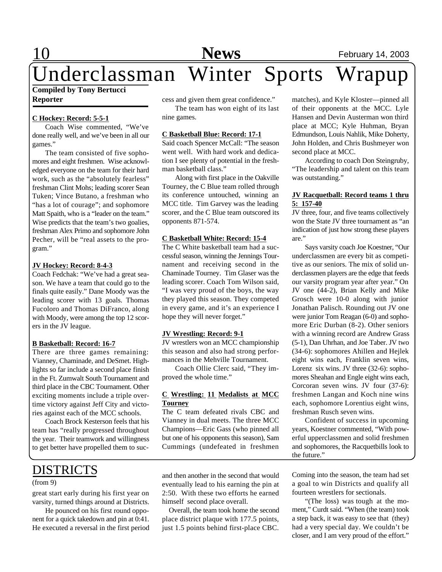## 10 **News** February 14, 2003

### **Compiled by Tony Bertucci Reporter** Underclassman Winter Sports Wrapup

### **C Hockey: Record: 5-5-1**

Coach Wise commented, "We've done really well, and we've been in all our games."

The team consisted of five sophomores and eight freshmen. Wise acknowledged everyone on the team for their hard work, such as the "absolutely fearless" freshman Clint Mohs; leading scorer Sean Tuken; Vince Butano, a freshman who "has a lot of courage"; and sophomore Matt Spaith, who is a "leader on the team." Wise predicts that the team's two goalies, freshman Alex Primo and sophomore John Pecher, will be "real assets to the program."

### **JV Hockey: Record: 8-4-3**

Coach Fedchak: "We've had a great season. We have a team that could go to the finals quite easily." Dane Moody was the leading scorer with 13 goals. Thomas Fucoloro and Thomas DiFranco, along with Moody, were among the top 12 scorers in the JV league.

#### **B Basketball: Record: 16-7**

There are three games remaining: Vianney, Chaminade, and DeSmet. Highlights so far include a second place finish in the Ft. Zumwalt South Tournament and third place in the CBC Tournament. Other exciting moments include a triple overtime victory against Jeff City and victories against each of the MCC schools.

Coach Brock Kesterson feels that his team has "really progressed throughout the year. Their teamwork and willingness to get better have propelled them to suc-

### DISTRICTS

### (from 9)

great start early during his first year on varsity, turned things around at Districts.

He pounced on his first round opponent for a quick takedown and pin at 0:41. He executed a reversal in the first period

cess and given them great confidence."

The team has won eight of its last nine games.

#### **C Basketball Blue: Record: 17-1**

Said coach Spencer McCall: "The season went well. With hard work and dedication I see plenty of potential in the freshman basketball class."

Along with first place in the Oakville Tourney, the C Blue team rolled through its conference untouched, winning an MCC title. Tim Garvey was the leading scorer, and the C Blue team outscored its opponents 871-574.

### **C Basketball White: Record: 15-4**

The C White basketball team had a successful season, winning the Jennings Tournament and receiving second in the Chaminade Tourney. Tim Glaser was the leading scorer. Coach Tom Wilson said, "I was very proud of the boys, the way they played this season. They competed in every game, and it's an experience I hope they will never forget."

#### **JV Wrestling: Record: 9-1**

JV wrestlers won an MCC championship this season and also had strong performances in the Mehville Tournament.

Coach Ollie Clerc said, "They improved the whole time."

### **C Wrestling: 11 Medalists at MCC Tourney**

The C team defeated rivals CBC and Vianney in dual meets. The three MCC Champions—Eric Gass (who pinned all but one of his opponents this season), Sam Cummings (undefeated in freshmen

and then another in the second that would eventually lead to his earning the pin at 2:50. With these two efforts he earned himself second place overall.

 Overall, the team took home the second place district plaque with 177.5 points, just 1.5 points behind first-place CBC. matches), and Kyle Kloster—pinned all of their opponents at the MCC. Lyle Hansen and Devin Austerman won third place at MCC; Kyle Huhman, Bryan Edmundson, Louis Nahlik, Mike Doherty, John Holden, and Chris Bushmeyer won second place at MCC.

According to coach Don Steingruby, "The leadership and talent on this team was outstanding."

### **JV Racquetball: Record teams 1 thru 5: 157-40**

JV three, four, and five teams collectively won the State JV three tournament as "an indication of just how strong these players are."

Says varsity coach Joe Koestner, "Our underclassmen are every bit as competitive as our seniors. The mix of solid underclassmen players are the edge that feeds our varsity program year after year." On JV one (44-2), Brian Kelly and Mike Grosch were 10-0 along with junior Jonathan Palisch. Rounding out JV one were junior Tom Reagan (6-0) and sophomore Eric Durban (8-2). Other seniors with a winning record are Andrew Grass (5-1), Dan Uhrhan, and Joe Taber. JV two (34-6): sophomores Ahillen and Hejlek eight wins each, Franklin seven wins, Lorenz six wins. JV three (32-6): sophomores Sheahan and Engle eight wins each, Corcoran seven wins. JV four (37-6): freshmen Langan and Koch nine wins each, sophomore Lorentius eight wins, freshman Rusch seven wins.

Confident of success in upcoming years, Koestner commented, "With powerful upperclassmen and solid freshmen and sophomores, the Racquetbills look to the future."

Coming into the season, the team had set a goal to win Districts and qualify all fourteen wrestlers for sectionals.

"(The loss) was tough at the moment," Curdt said. "When (the team) took a step back, it was easy to see that (they) had a very special day. We couldn't be closer, and I am very proud of the effort."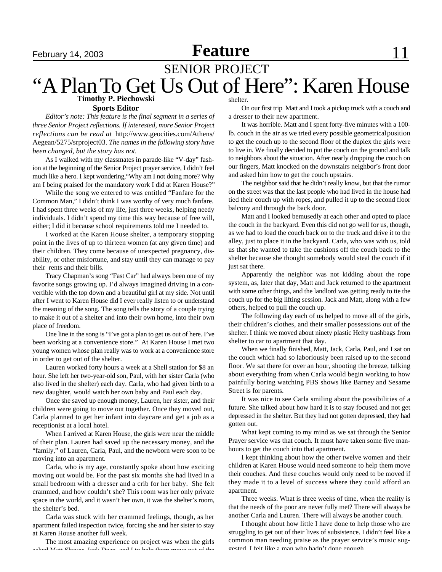## February 14, 2003 **Feature**  $\blacksquare$  11

### SENIOR PROJECT "A Plan To Get Us Out of Here": Karen House **Timothy P. Piechowski**

#### **Sports Editor**

*Editor's note: This feature is the final segment in a series of three Senior Project reflections. If interested, more Senior Project reflections can be read at* http://www.geocities.com/Athens/ Aegean/5275/srproject03. *The names in the following story have been changed, but the story has not.*

As I walked with my classmates in parade-like "V-day" fashion at the beginning of the Senior Project prayer service, I didn't feel much like a hero. I kept wondering,"Why am I not doing more? Why am I being praised for the mandatory work I did at Karen House?"

While the song we entered to was entitled "Fanfare for the Common Man," I didn't think I was worthy of very much fanfare. I had spent three weeks of my life, just three weeks, helping needy individuals. I didn't spend my time this way because of free will, either; I did it because school requirements told me I needed to.

I worked at the Karen House shelter, a temporary stopping point in the lives of up to thirteen women (at any given time) and their children. They come because of unexpected pregnancy, disability, or other misfortune, and stay until they can manage to pay their rents and their bills.

Tracy Chapman's song "Fast Car" had always been one of my favorite songs growing up. I'd always imagined driving in a convertible with the top down and a beautiful girl at my side. Not until after I went to Karen House did I ever really listen to or understand the meaning of the song. The song tells the story of a couple trying to make it out of a shelter and into their own home, into their own place of freedom.

One line in the song is "I've got a plan to get us out of here. I've been working at a convenience store." At Karen House I met two young women whose plan really was to work at a convenience store in order to get out of the shelter.

Lauren worked forty hours a week at a Shell station for \$8 an hour. She left her two-year-old son, Paul, with her sister Carla (who also lived in the shelter) each day. Carla, who had given birth to a new daughter, would watch her own baby and Paul each day.

Once she saved up enough money, Lauren, her sister, and their children were going to move out together. Once they moved out, Carla planned to get her infant into daycare and get a job as a receptionist at a local hotel.

When I arrived at Karen House, the girls were near the middle of their plan. Lauren had saved up the necessary money, and the "family," of Lauren, Carla, Paul, and the newborn were soon to be moving into an apartment.

Carla, who is my age, constantly spoke about how exciting moving out would be. For the past six months she had lived in a small bedroom with a dresser and a crib for her baby. She felt crammed, and how couldn't she? This room was her only private space in the world, and it wasn't her own, it was the shelter's room, the shelter's bed.

Carla was stuck with her crammed feelings, though, as her apartment failed inspection twice, forcing she and her sister to stay at Karen House another full week.

The most amazing experience on project was when the girls asked Matt Chaver, Jack Dean, and I to help them move out of the

shelter.

On our first trip Matt and I took a pickup truck with a couch and a dresser to their new apartment.

It was horrible. Matt and I spent forty-five minutes with a 100 lb. couch in the air as we tried every possible geometrical position to get the couch up to the second floor of the duplex the girls were to live in. We finally decided to put the couch on the ground and talk to neighbors about the situation. After nearly dropping the couch on our fingers, Matt knocked on the downstairs neighbor's front door and asked him how to get the couch upstairs.

The neighbor said that he didn't really know, but that the rumor on the street was that the last people who had lived in the house had tied their couch up with ropes, and pulled it up to the second floor balcony and through the back door.

Matt and I looked bemusedly at each other and opted to place the couch in the backyard. Even this did not go well for us, though, as we had to load the couch back on to the truck and drive it to the alley, just to place it in the backyard. Carla, who was with us, told us that she wanted to take the cushions off the couch back to the shelter because she thought somebody would steal the couch if it just sat there.

Apparently the neighbor was not kidding about the rope system, as, later that day, Matt and Jack returned to the apartment with some other things, and the landlord was getting ready to tie the couch up for the big lifting session. Jack and Matt, along with a few others, helped to pull the couch up.

The following day each of us helped to move all of the girls, their children's clothes, and their smaller possessions out of the shelter. I think we moved about ninety plastic Hefty trashbags from shelter to car to apartment that day.

When we finally finished, Matt, Jack, Carla, Paul, and I sat on the couch which had so laboriously been raised up to the second floor. We sat there for over an hour, shooting the breeze, talking about everything from when Carla would begin working to how painfully boring watching PBS shows like Barney and Sesame Street is for parents.

It was nice to see Carla smiling about the possibilities of a future. She talked about how hard it is to stay focused and not get depressed in the shelter. But they had not gotten depressed, they had gotten out.

What kept coming to my mind as we sat through the Senior Prayer service was that couch. It must have taken some five manhours to get the couch into that apartment.

I kept thinking about how the other twelve women and their children at Karen House would need someone to help them move their couches. And these couches would only need to be moved if they made it to a level of success where they could afford an apartment.

Three weeks. What is three weeks of time, when the reality is that the needs of the poor are never fully met? There will always be another Carla and Lauren. There will always be another couch.

I thought about how little I have done to help those who are struggling to get out of their lives of subsistence. I didn't feel like a common man needing praise as the prayer service's music suggested. I felt like a man who hadn't done enough.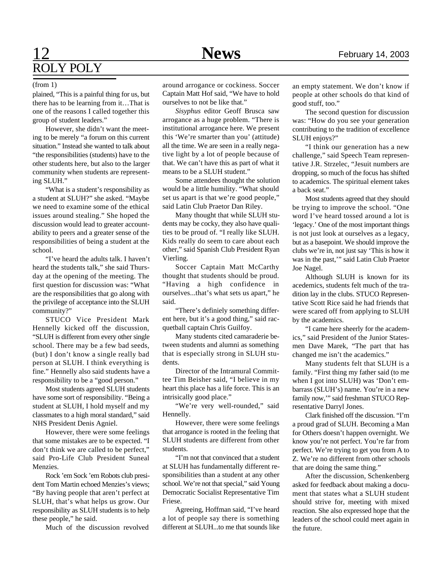## 12 **News** February 14, 2003 ROLY POLY

### (from 1)

plained, "This is a painful thing for us, but there has to be learning from it…That is one of the reasons I called together this group of student leaders."

However, she didn't want the meeting to be merely "a forum on this current situation." Instead she wanted to talk about "the responsibilities (students) have to the other students here, but also to the larger community when students are representing SLUH."

"What is a student's responsibility as a student at SLUH?" she asked. "Maybe we need to examine some of the ethical issues around stealing." She hoped the discussion would lead to greater accountability to peers and a greater sense of the responsibilities of being a student at the school.

"I've heard the adults talk. I haven't heard the students talk," she said Thursday at the opening of the meeting. The first question for discussion was: "What are the responsibilities that go along with the privilege of acceptance into the SLUH community?"

STUCO Vice President Mark Hennelly kicked off the discussion, "SLUH is different from every other single school. There may be a few bad seeds, (but) I don't know a single really bad person at SLUH. I think everything is fine." Hennelly also said students have a responsibility to be a "good person."

Most students agreed SLUH students have some sort of responsibility. "Being a student at SLUH, I hold myself and my classmates to a high moral standard," said NHS President Denis Agniel.

However, there were some feelings that some mistakes are to be expected. "I don't think we are called to be perfect," said Pro-Life Club President Suneal **Menzies**.

Rock 'em Sock 'em Robots club president Tom Martin echoed Menzies's views; "By having people that aren't perfect at SLUH, that's what helps us grow. Our responsibility as SLUH students is to help these people," he said.

Much of the discussion revolved

around arrogance or cockiness. Soccer Captain Matt Hof said, "We have to hold ourselves to not be like that."

*Sisyphus* editor Geoff Brusca saw arrogance as a huge problem. "There is institutional arrogance here. We present this 'We're smarter than you' (attitude) all the time. We are seen in a really negative light by a lot of people because of that. We can't have this as part of what it means to be a SLUH student."

Some attendees thought the solution would be a little humility. "What should set us apart is that we're good people," said Latin Club Praetor Dan Riley.

Many thought that while SLUH students may be cocky, they also have qualities to be proud of. "I really like SLUH. Kids really do seem to care about each other," said Spanish Club President Ryan Vierling.

Soccer Captain Matt McCarthy thought that students should be proud. "Having a high confidence in ourselves...that's what sets us apart," he said.

"There's definiely something different here, but it's a good thing," said racquetball captain Chris Guilfoy.

Many students cited camaraderie between students and alumni as something that is especially strong in SLUH students.

Director of the Intramural Committee Tim Beisher said, "I believe in my heart this place has a life force. This is an intrisically good place."

"We're very well-rounded," said Hennelly.

However, there were some feelings that arrogance is rooted in the feeling that SLUH students are different from other students.

"I'm not that convinced that a student at SLUH has fundamentally different responsibilities than a student at any other school. We're not that special," said Young Democratic Socialist Representative Tim Friese.

Agreeing, Hoffman said, "I've heard a lot of people say there is something different at SLUH...to me that sounds like an empty statement. We don't know if people at other schools do that kind of good stuff, too."

The second question for discussion was: "How do you see your generation contributing to the tradition of excellence SLUH enjoys?"

"I think our generation has a new challenge," said Speech Team representative J.R. Strzelec, "Jesuit numbers are dropping, so much of the focus has shifted to academics. The spiritual element takes a back seat."

Most students agreed that they should be trying to improve the school. "One word I've heard tossed around a lot is 'legacy.' One of the most important things is not just look at ourselves as a legacy, but as a basepoint. We should improve the clubs we're in, not just say 'This is how it was in the past,'" said Latin Club Praetor Joe Nagel.

Although SLUH is known for its acedemics, students felt much of the tradition lay in the clubs. STUCO Representative Scott Rice said he had friends that were scared off from applying to SLUH by the academics.

"I came here sheerly for the academics," said President of the Junior Statesmen Dave Marek, "The part that has changed me isn't the academics."

Many students felt that SLUH is a family. "First thing my father said (to me when I got into SLUH) was 'Don't embarrass (SLUH's) name. You're in a new family now,'" said freshman STUCO Representative Darryl Jones.

Clark finished off the discussion. "I'm a proud grad of SLUH. Becoming a Man for Others doesn't happen overnight. We know you're not perfect. You're far from perfect. We're trying to get you from A to Z. We're no different from other schools that are doing the same thing."

After the discussion, Schenkenberg asked for feedback about making a document that states what a SLUH student should strive for, meeting with mixed reaction. She also expressed hope that the leaders of the school could meet again in the future.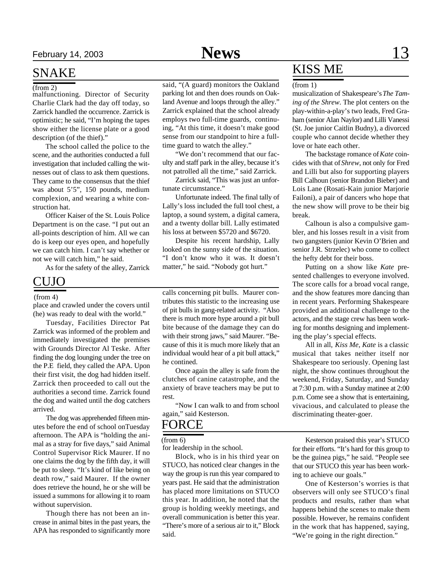### SNAKE

malfunctioning. Director of Security Charlie Clark had the day off today, so Zarrick handled the occurrence. Zarrick is optimistic; he said, "I'm hoping the tapes show either the license plate or a good description (of the thief)."

The school called the police to the scene, and the authorities conducted a full investigation that included calling the witnesses out of class to ask them questions. They came to the consensus that the thief was about 5'5", 150 pounds, medium complexion, and wearing a white construction hat.

Officer Kaiser of the St. Louis Police Department is on the case. "I put out an all-points description of him. All we can do is keep our eyes open, and hopefully we can catch him. I can't say whether or not we will catch him," he said.

As for the safety of the alley, Zarrick

### CUJO

place and crawled under the covers until (he) was ready to deal with the world."

Tuesday, Facilities Director Pat Zarrick was informed of the problem and immediately investigated the premises with Grounds Director Al Teske. After finding the dog lounging under the tree on the P.E field, they called the APA. Upon their first visit, the dog had hidden itself. Zarrick then proceeded to call out the authorities a second time. Zarrick found the dog and waited until the dog catchers arrived.

The dog was apprehended fifteen minutes before the end of school onTuesday afternoon. The APA is "holding the animal as a stray for five days," said Animal Control Supervisor Rick Maurer. If no one claims the dog by the fifth day, it will be put to sleep. "It's kind of like being on death row," said Maurer. If the owner does retrieve the hound, he or she will be issued a summons for allowing it to roam without supervision.

Though there has not been an increase in animal bites in the past years, the APA has responded to significantly more

(from 2) said, "(A guard) monitors the Oakland parking lot and then does rounds on Oakland Avenue and loops through the alley." Zarrick explained that the school already employs two full-time guards, continuing, "At this time, it doesn't make good sense from our standpoint to hire a fulltime guard to watch the alley."

> "We don't recommend that our faculty and staff park in the alley, because it's not patrolled all the time," said Zarrick.

> Zarrick said, "This was just an unfortunate circumstance."

> Unfortunate indeed. The final tally of Lally's loss included the full tool chest, a laptop, a sound system, a digital camera, and a twenty dollar bill. Lally estimated his loss at between \$5720 and \$6720.

> Despite his recent hardship, Lally looked on the sunny side of the situation. "I don't know who it was. It doesn't matter," he said. "Nobody got hurt."

(from 4) calls concerning pit bulls. Maurer contributes this statistic to the increasing use of pit bulls in gang-related activity. "Also there is much more hype around a pit bull bite because of the damage they can do with their strong jaws," said Maurer. "Because of this it is much more likely that an individual would hear of a pit bull attack," he contined.

> Once again the alley is safe from the clutches of canine catastrophe, and the anxiety of brave teachers may be put to rest.

> "Now I can walk to and from school again," said Kesterson.

### FORCE

(from 6)

for leadership in the school.

Block, who is in his third year on STUCO, has noticed clear changes in the way the group is run this year compared to years past. He said that the administration has placed more limitations on STUCO this year. In addition, he noted that the group is holding weekly meetings, and overall communication is better this year. "There's more of a serious air to it," Block said.

## KISS ME

#### (from 1)

musicalization of Shakespeare's *The Taming of the Shrew*. The plot centers on the play-within-a-play's two leads, Fred Graham (senior Alan Naylor) and Lilli Vanessi (St. Joe junior Caitlin Budny), a divorced couple who cannot decide whether they love or hate each other.

The backstage romance of *Kate* coincides with that of *Shrew*, not only for Fred and Lilli but also for supporting players Bill Calhoun (senior Brandon Bieber) and Lois Lane (Rosati-Kain junior Marjorie Failoni), a pair of dancers who hope that the new show will prove to be their big break.

Calhoun is also a compulsive gambler, and his losses result in a visit from two gangsters (junior Kevin O'Brien and senior J.R. Strzelec) who come to collect the hefty debt for their boss.

Putting on a show like *Kate* presented challenges to everyone involved. The score calls for a broad vocal range, and the show features more dancing than in recent years. Performing Shakespeare provided an additional challenge to the actors, and the stage crew has been working for months designing and implementing the play's special effects.

All in all, *Kiss Me, Kate* is a classic musical that takes neither itself nor Shakespeare too seriously. Opening last night, the show continues throughout the weekend, Friday, Saturday, and Sunday at 7:30 p.m. with a Sunday matinee at 2:00 p.m. Come see a show that is entertaining, vivacious, and calculated to please the discriminating theater-goer.

Kesterson praised this year's STUCO for their efforts. "It's hard for this group to be the guinea pigs," he said. "People see that our STUCO this year has been working to achieve our goals."

One of Kesterson's worries is that observers will only see STUCO's final products and results, rather than what happens behind the scenes to make them possible. However, he remains confident in the work that has happened, saying, "We're going in the right direction."